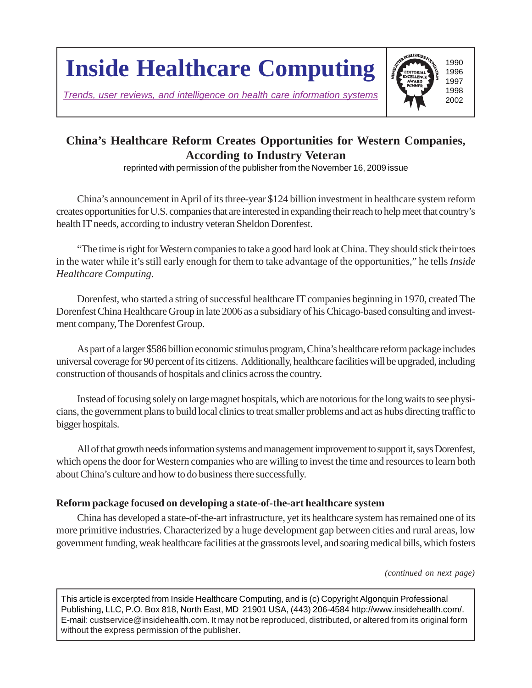# **Inside Healthcare Computing**

*Trends, user reviews, and intelligence on health care information systems*



## **China's Healthcare Reform Creates Opportunities for Western Companies, According to Industry Veteran**

reprinted with permission of the publisher from the November 16, 2009 issue

China's announcement in April of its three-year \$124 billion investment in healthcare system reform creates opportunities for U.S. companies that are interested in expanding their reach to help meet that country's health IT needs, according to industry veteran Sheldon Dorenfest.

"The time is right for Western companies to take a good hard look at China. They should stick their toes in the water while it's still early enough for them to take advantage of the opportunities," he tells *Inside Healthcare Computing*.

Dorenfest, who started a string of successful healthcare IT companies beginning in 1970, created The Dorenfest China Healthcare Group in late 2006 as a subsidiary of his Chicago-based consulting and investment company, The Dorenfest Group.

As part of a larger \$586 billion economic stimulus program, China's healthcare reform package includes universal coverage for 90 percent of its citizens. Additionally, healthcare facilities will be upgraded, including construction of thousands of hospitals and clinics across the country.

Instead of focusing solely on large magnet hospitals, which are notorious for the long waits to see physicians, the government plans to build local clinics to treat smaller problems and act as hubs directing traffic to bigger hospitals.

All of that growth needs information systems and management improvement to support it, says Dorenfest, which opens the door for Western companies who are willing to invest the time and resources to learn both about China's culture and how to do business there successfully.

### **Reform package focused on developing a state-of-the-art healthcare system**

China has developed a state-of-the-art infrastructure, yet its healthcare system has remained one of its more primitive industries. Characterized by a huge development gap between cities and rural areas, low government funding, weak healthcare facilities at the grassroots level, and soaring medical bills, which fosters

*(continued on next page)*

This article is excerpted from Inside Healthcare Computing, and is (c) Copyright Algonquin Professional Publishing, LLC, P.O. Box 818, North East, MD 21901 USA, (443) 206-4584 http://www.insidehealth.com/. E-mail: custservice@insidehealth.com. It may not be reproduced, distributed, or altered from its original form without the express permission of the publisher.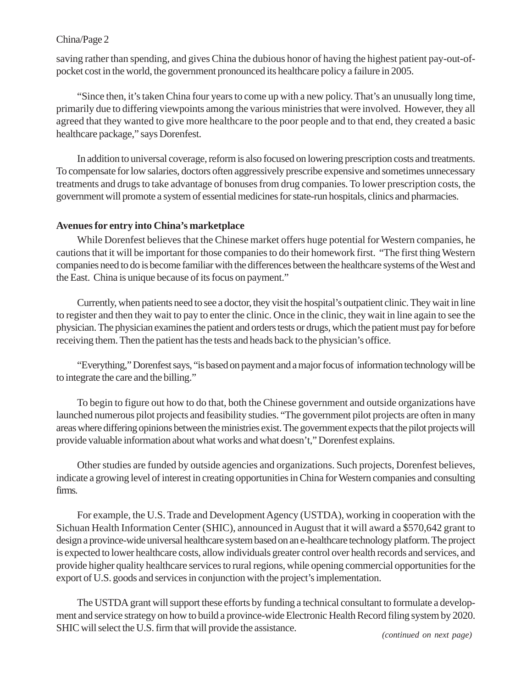#### China/Page 2

saving rather than spending, and gives China the dubious honor of having the highest patient pay-out-ofpocket cost in the world, the government pronounced its healthcare policy a failure in 2005.

"Since then, it's taken China four years to come up with a new policy. That's an unusually long time, primarily due to differing viewpoints among the various ministries that were involved. However, they all agreed that they wanted to give more healthcare to the poor people and to that end, they created a basic healthcare package," says Dorenfest.

In addition to universal coverage, reform is also focused on lowering prescription costs and treatments. To compensate for low salaries, doctors often aggressively prescribe expensive and sometimes unnecessary treatments and drugs to take advantage of bonuses from drug companies. To lower prescription costs, the government will promote a system of essential medicines for state-run hospitals, clinics and pharmacies.

#### **Avenues for entry into China's marketplace**

While Dorenfest believes that the Chinese market offers huge potential for Western companies, he cautions that it will be important for those companies to do their homework first. "The first thing Western companies need to do is become familiar with the differences between the healthcare systems of the West and the East. China is unique because of its focus on payment."

Currently, when patients need to see a doctor, they visit the hospital's outpatient clinic. They wait in line to register and then they wait to pay to enter the clinic. Once in the clinic, they wait in line again to see the physician. The physician examines the patient and orders tests or drugs, which the patient must pay for before receiving them. Then the patient has the tests and heads back to the physician's office.

"Everything," Dorenfest says, "is based on payment and a major focus of information technology will be to integrate the care and the billing."

To begin to figure out how to do that, both the Chinese government and outside organizations have launched numerous pilot projects and feasibility studies. "The government pilot projects are often in many areas where differing opinions between the ministries exist. The government expects that the pilot projects will provide valuable information about what works and what doesn't," Dorenfest explains.

Other studies are funded by outside agencies and organizations. Such projects, Dorenfest believes, indicate a growing level of interest in creating opportunities in China for Western companies and consulting firms.

For example, the U.S. Trade and Development Agency (USTDA), working in cooperation with the Sichuan Health Information Center (SHIC), announced in August that it will award a \$570,642 grant to design a province-wide universal healthcare system based on an e-healthcare technology platform. The project is expected to lower healthcare costs, allow individuals greater control over health records and services, and provide higher quality healthcare services to rural regions, while opening commercial opportunities for the export of U.S. goods and services in conjunction with the project's implementation.

The USTDA grant will support these efforts by funding a technical consultant to formulate a development and service strategy on how to build a province-wide Electronic Health Record filing system by 2020. SHIC will select the U.S. firm that will provide the assistance. *(continued on next page)*